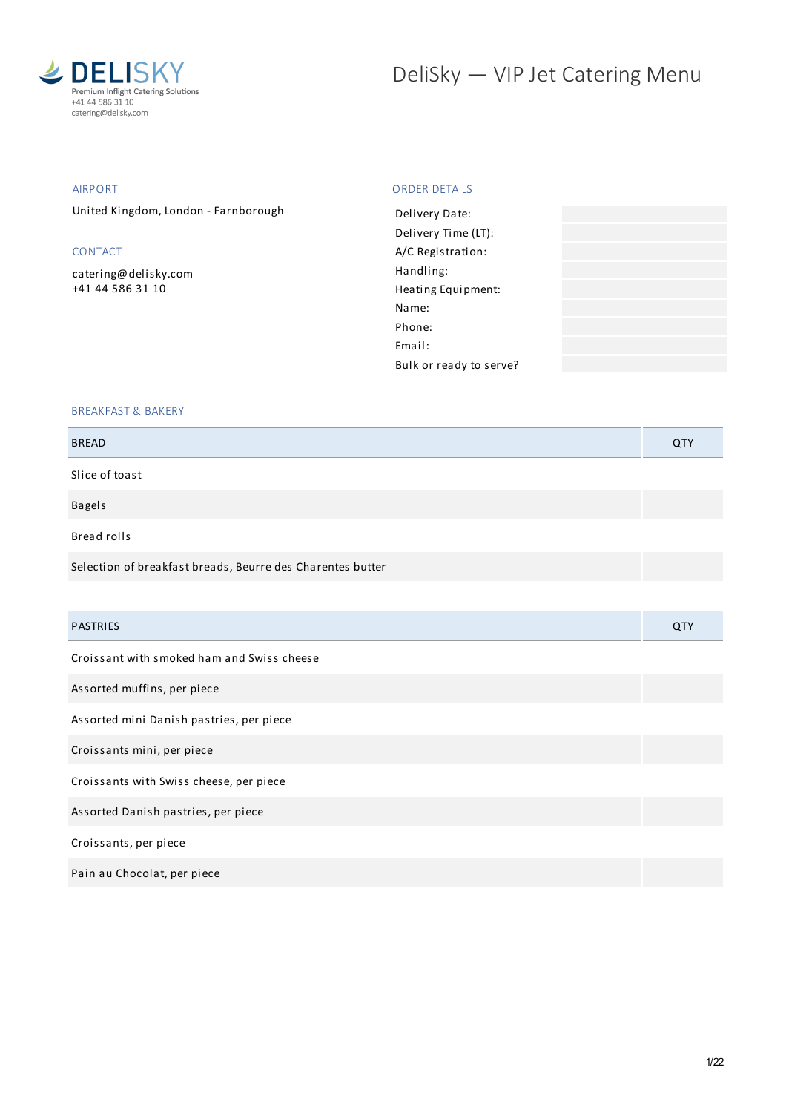

# DeliSky - VIP Jet Catering Menu

# AIRPORT

United Kingdom, London - Farnborough

# CONTACT

[catering@delisky.com](mailto:catering@delisky.com) +41 44 586 31 10

# ORDER DETAILS

| Delivery Date:          |  |
|-------------------------|--|
| Delivery Time (LT):     |  |
| A/C Registration:       |  |
| Handling:               |  |
| Heating Equipment:      |  |
| Name:                   |  |
| Phone:                  |  |
| Fmail:                  |  |
| Bulk or ready to serve? |  |
|                         |  |

# BREAKFAST & BAKERY

| <b>BREAD</b>                                               | QTY        |
|------------------------------------------------------------|------------|
| Slice of toast                                             |            |
| <b>Bagels</b>                                              |            |
| Bread rolls                                                |            |
| Selection of breakfast breads, Beurre des Charentes butter |            |
|                                                            |            |
| <b>PASTRIES</b>                                            | <b>QTY</b> |
| Croissant with smoked ham and Swiss cheese                 |            |
| Assorted muffins, per piece                                |            |
| Assorted mini Danish pastries, per piece                   |            |
| Croissants mini, per piece                                 |            |
| Croissants with Swiss cheese, per piece                    |            |
| Assorted Danish pastries, per piece                        |            |
| Croissants, per piece                                      |            |
| Pain au Chocolat, per piece                                |            |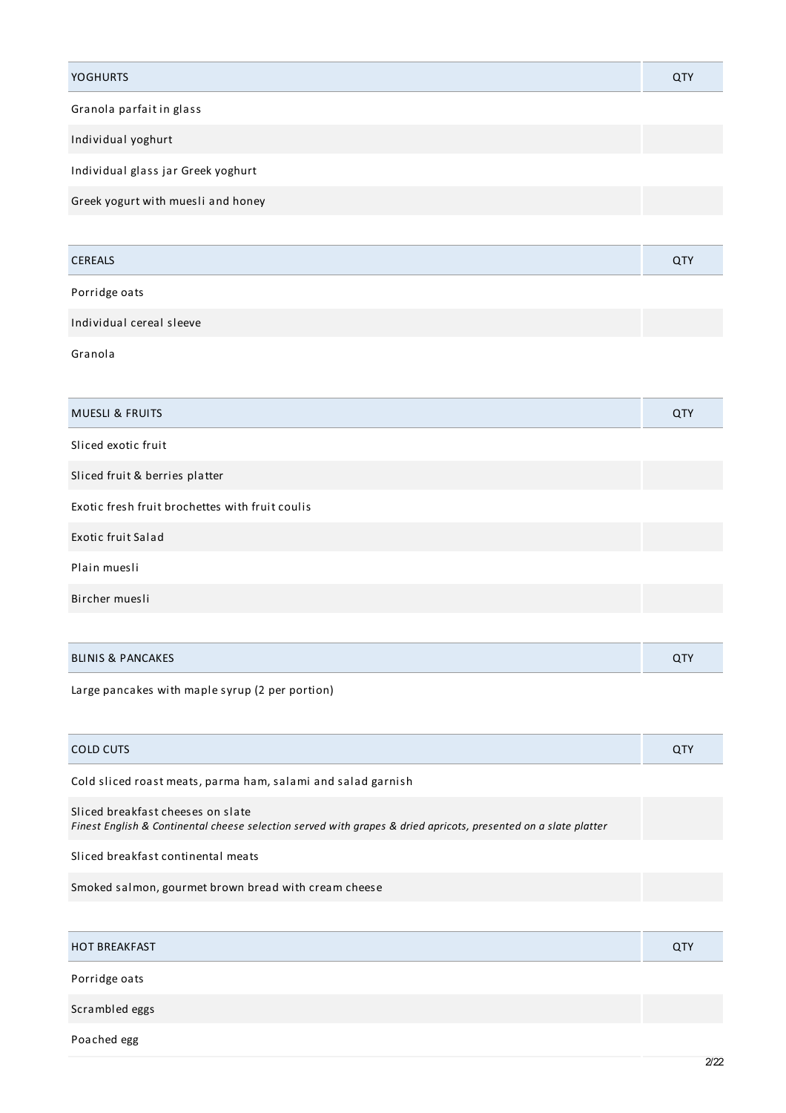| <b>YOGHURTS</b>                                 | <b>QTY</b> |
|-------------------------------------------------|------------|
| Granola parfait in glass                        |            |
| Individual yoghurt                              |            |
| Individual glass jar Greek yoghurt              |            |
| Greek yogurt with muesli and honey              |            |
|                                                 |            |
| <b>CEREALS</b>                                  | <b>QTY</b> |
| Porridge oats                                   |            |
| Individual cereal sleeve                        |            |
| Granola                                         |            |
|                                                 |            |
| <b>MUESLI &amp; FRUITS</b>                      | <b>QTY</b> |
| Sliced exotic fruit                             |            |
| Sliced fruit & berries platter                  |            |
| Exotic fresh fruit brochettes with fruit coulis |            |
| Exotic fruit Salad                              |            |
| Plain muesli                                    |            |
| Bircher muesli                                  |            |
|                                                 |            |
| <b>BLINIS &amp; PANCAKES</b>                    | <b>QTY</b> |

Large pancakes with maple syrup (2 per portion)

| COLD CUTS                                                                                                                                            | QTY |
|------------------------------------------------------------------------------------------------------------------------------------------------------|-----|
| Cold sliced roast meats, parma ham, salami and salad garnish                                                                                         |     |
| Sliced breakfast cheeses on slate<br>Finest English & Continental cheese selection served with grapes & dried apricots, presented on a slate platter |     |
| Sliced breakfast continental meats                                                                                                                   |     |
| Smoked salmon, gourmet brown bread with cream cheese                                                                                                 |     |
|                                                                                                                                                      |     |

| <b>FAKFAST</b><br><b>HOT BRE</b><br>ີຕວ່າ |  |
|-------------------------------------------|--|
|                                           |  |

Porridge oats

Scrambled eggs

Poached egg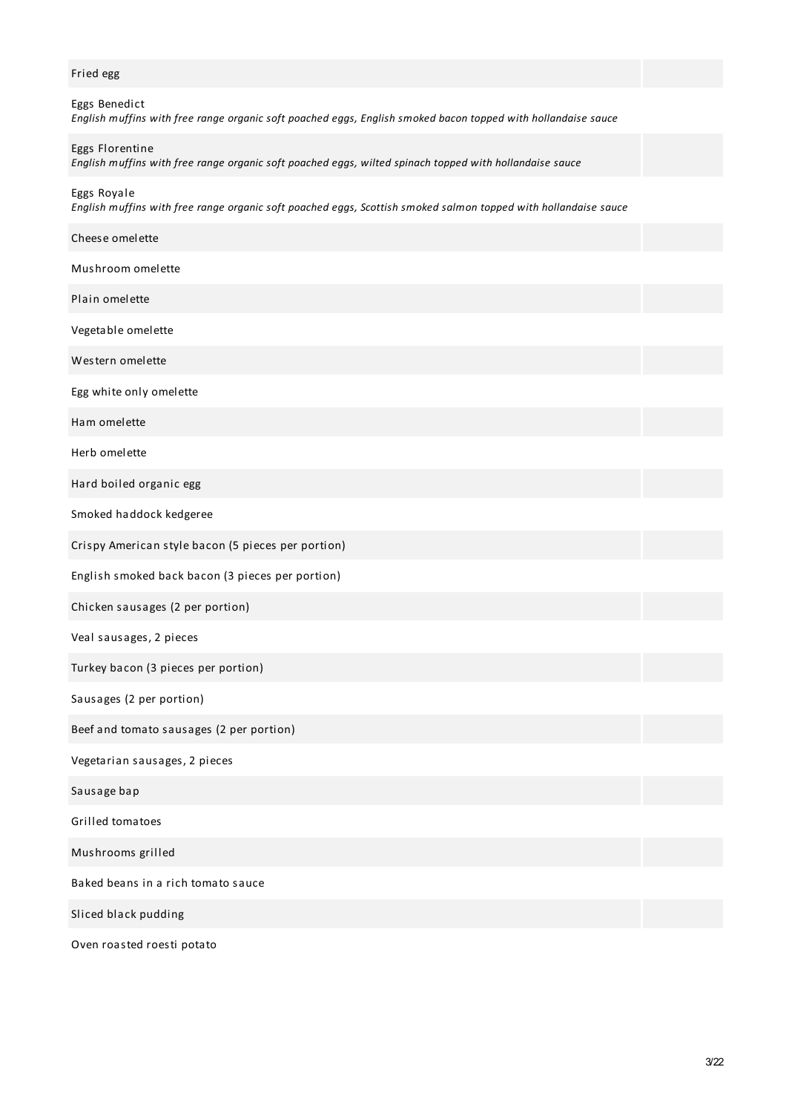# Fried egg

| Eggs Benedict                                                                                                 |  |
|---------------------------------------------------------------------------------------------------------------|--|
| English muffins with free range organic soft poached eggs, English smoked bacon topped with hollandaise sauce |  |
|                                                                                                               |  |

# Eggs Florentine

*English muffins with free range organic soft poached eggs, wilted spinach topped with hollandaise sauce*

Eggs Royale

*English muffins with free range organic soft poached eggs, Scottish smoked salmon topped with hollandaise sauce*

| Cheese omelette                                    |  |
|----------------------------------------------------|--|
| Mushroom omelette                                  |  |
| Plain omelette                                     |  |
| Vegetable omelette                                 |  |
| Western omelette                                   |  |
| Egg white only omelette                            |  |
| Ham omelette                                       |  |
| Herb omelette                                      |  |
| Hard boiled organic egg                            |  |
| Smoked haddock kedgeree                            |  |
| Crispy American style bacon (5 pieces per portion) |  |
| English smoked back bacon (3 pieces per portion)   |  |
| Chicken sausages (2 per portion)                   |  |
| Veal sausages, 2 pieces                            |  |
| Turkey bacon (3 pieces per portion)                |  |
| Sausages (2 per portion)                           |  |
| Beef and tomato sausages (2 per portion)           |  |
| Vegetarian sausages, 2 pieces                      |  |
| Sausage bap                                        |  |
| Grilled tomatoes                                   |  |
| Mushrooms grilled                                  |  |
| Baked beans in a rich tomato sauce                 |  |
| Sliced black pudding                               |  |
|                                                    |  |

Oven roasted roesti potato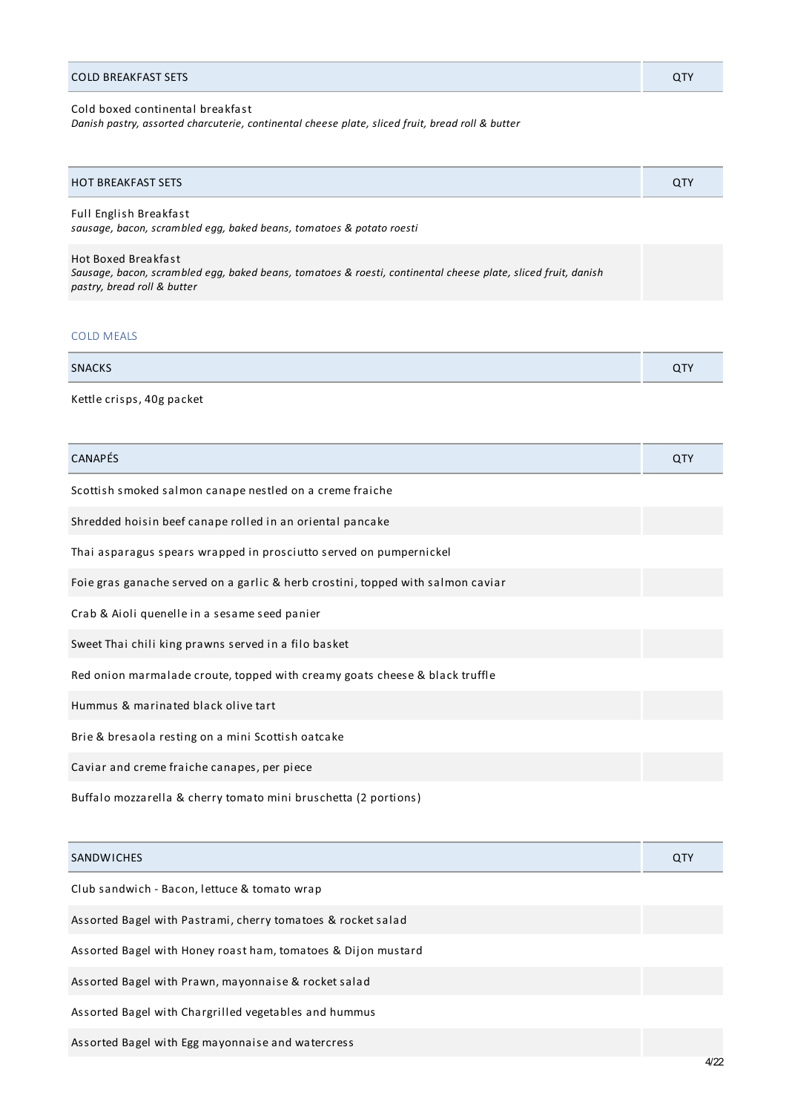#### Cold boxed continental breakfast

*Danish pastry, assorted charcuterie, continental cheese plate, sliced fruit, bread roll & butter*

| <b>HOT BREAKFAST SETS</b> | ~T.<br>◡ |
|---------------------------|----------|
|---------------------------|----------|

Full English Breakfast *sausage, bacon, scrambled egg, baked beans, tomatoes & potato roesti*

Hot Boxed Breakfast

*Sausage, bacon, scrambled egg, baked beans, tomatoes & roesti, continental cheese plate, sliced fruit, danish pastry, bread roll & butter*

# COLD MEALS

| <b>SNACKS</b> | $\sim$ |
|---------------|--------|
|               |        |

Kettle crisps, 40g packet

| <b>CANAPÉS</b>                                                                  | <b>QTY</b> |
|---------------------------------------------------------------------------------|------------|
| Scottish smoked salmon canape nestled on a creme fraiche                        |            |
| Shredded hoisin beef canape rolled in an oriental pancake                       |            |
| Thai asparagus spears wrapped in prosciutto served on pumpernickel              |            |
| Foie gras ganache served on a garlic & herb crostini, topped with salmon caviar |            |
| Crab & Aioli quenelle in a sesame seed panier                                   |            |
| Sweet Thai chili king prawns served in a filo basket                            |            |
| Red onion marmalade croute, topped with creamy goats cheese & black truffle     |            |
| Hummus & marinated black olive tart                                             |            |
| Brie & bresaola resting on a mini Scottish oatcake                              |            |
| Caviar and creme fraiche canapes, per piece                                     |            |
| Buffalo mozzarella & cherry tomato mini bruschetta (2 portions)                 |            |
|                                                                                 |            |
| <b>SANDWICHES</b>                                                               | QTY        |
| Club sandwich - Bacon, lettuce & tomato wrap                                    |            |
| Assorted Bagel with Pastrami, cherry tomatoes & rocket salad                    |            |
| Assorted Bagel with Honey roast ham, tomatoes & Dijon mustard                   |            |
| Assorted Bagel with Prawn, mayonnaise & rocket salad                            |            |
| Assorted Bagel with Chargrilled vegetables and hummus                           |            |
| Assorted Bagel with Egg mayonnaise and watercress                               |            |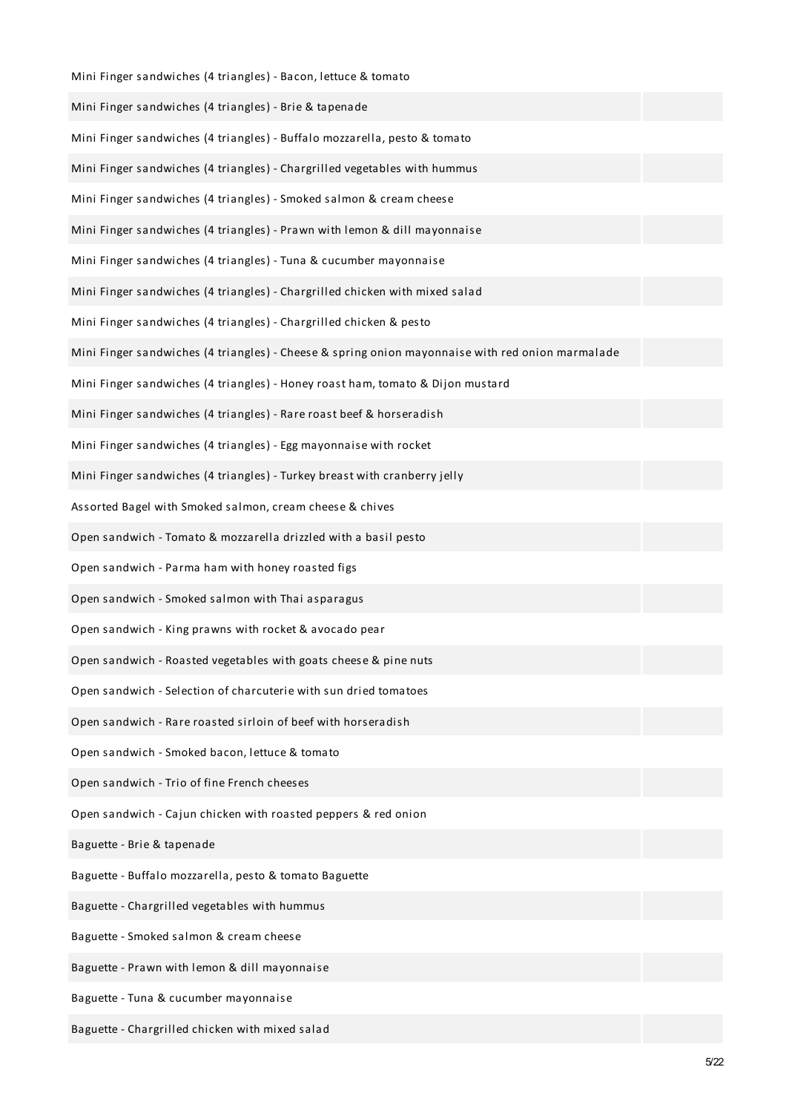| Mini Finger sandwiches (4 triangles) - Bacon, lettuce & tomato                                   |
|--------------------------------------------------------------------------------------------------|
| Mini Finger sandwiches (4 triangles) - Brie & tapenade                                           |
| Mini Finger sandwiches (4 triangles) - Buffalo mozzarella, pesto & tomato                        |
| Mini Finger sandwiches (4 triangles) - Chargrilled vegetables with hummus                        |
| Mini Finger sandwiches (4 triangles) - Smoked salmon & cream cheese                              |
| Mini Finger sandwiches (4 triangles) - Prawn with lemon & dill mayonnaise                        |
| Mini Finger sandwiches (4 triangles) - Tuna & cucumber mayonnaise                                |
| Mini Finger sandwiches (4 triangles) - Chargrilled chicken with mixed salad                      |
| Mini Finger sandwiches (4 triangles) - Chargrilled chicken & pesto                               |
| Mini Finger sandwiches (4 triangles) - Cheese & spring onion mayonnaise with red onion marmalade |
| Mini Finger sandwiches (4 triangles) - Honey roast ham, tomato & Dijon mustard                   |
| Mini Finger sandwiches (4 triangles) - Rare roast beef & horseradish                             |
| Mini Finger sandwiches (4 triangles) - Egg mayonnaise with rocket                                |
| Mini Finger sandwiches (4 triangles) - Turkey breast with cranberry jelly                        |
| Assorted Bagel with Smoked salmon, cream cheese & chives                                         |
| Open sandwich - Tomato & mozzarella drizzled with a basil pesto                                  |
| Open sandwich - Parma ham with honey roasted figs                                                |
| Open sandwich - Smoked salmon with Thai asparagus                                                |
| Open sandwich - King prawns with rocket & avocado pear                                           |
| Open sandwich - Roasted vegetables with goats cheese & pine nuts                                 |
| Open sandwich - Selection of charcuterie with sun dried tomatoes                                 |
| Open sandwich - Rare roasted sirloin of beef with horseradish                                    |
| Open sandwich - Smoked bacon, lettuce & tomato                                                   |
| Open sandwich - Trio of fine French cheeses                                                      |
| Open sandwich - Cajun chicken with roasted peppers & red onion                                   |
| Baguette - Brie & tapenade                                                                       |
| Baguette - Buffalo mozzarella, pesto & tomato Baguette                                           |
| Baguette - Chargrilled vegetables with hummus                                                    |
| Baguette - Smoked salmon & cream cheese                                                          |
| Baguette - Prawn with lemon & dill mayonnaise                                                    |
| Baguette - Tuna & cucumber mayonnaise                                                            |
| Baguette - Chargrilled chicken with mixed salad                                                  |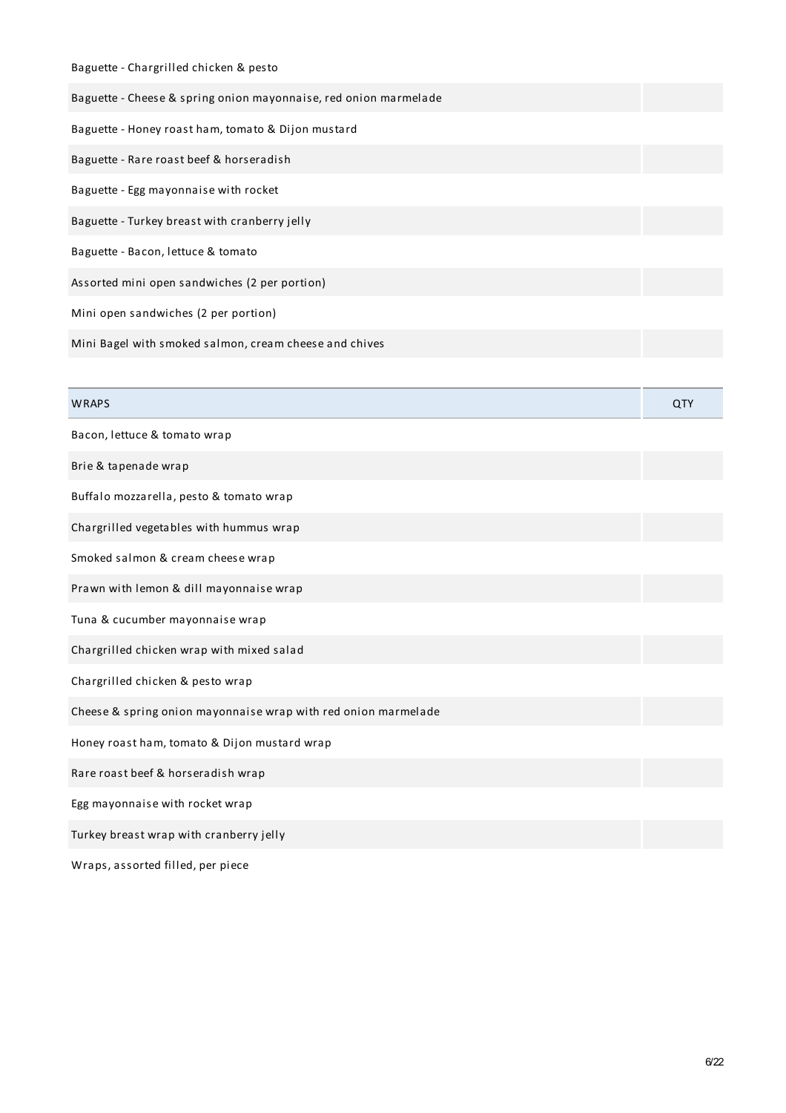| Baguette - Chargrilled chicken & pesto                           |            |
|------------------------------------------------------------------|------------|
| Baguette - Cheese & spring onion mayonnaise, red onion marmelade |            |
| Baguette - Honey roast ham, tomato & Dijon mustard               |            |
| Baguette - Rare roast beef & horseradish                         |            |
| Baguette - Egg mayonnaise with rocket                            |            |
| Baguette - Turkey breast with cranberry jelly                    |            |
| Baguette - Bacon, lettuce & tomato                               |            |
| Assorted mini open sandwiches (2 per portion)                    |            |
| Mini open sandwiches (2 per portion)                             |            |
| Mini Bagel with smoked salmon, cream cheese and chives           |            |
|                                                                  |            |
|                                                                  |            |
| <b>WRAPS</b>                                                     | <b>QTY</b> |
| Bacon, lettuce & tomato wrap                                     |            |
| Brie & tapenade wrap                                             |            |
| Buffalo mozzarella, pesto & tomato wrap                          |            |
| Chargrilled vegetables with hummus wrap                          |            |
| Smoked salmon & cream cheese wrap                                |            |
| Prawn with lemon & dill mayonnaise wrap                          |            |
| Tuna & cucumber mayonnaise wrap                                  |            |
| Chargrilled chicken wrap with mixed salad                        |            |

Cheese & spring onion mayonnaise wrap with red onion marmelade

Honey roast ham, tomato & Dijon mustard wrap

Rare roast beef & horseradish wrap

Egg mayonnaise with rocket wrap

Turkey breast wrap with cranberry jelly

Wraps, assorted filled, per piece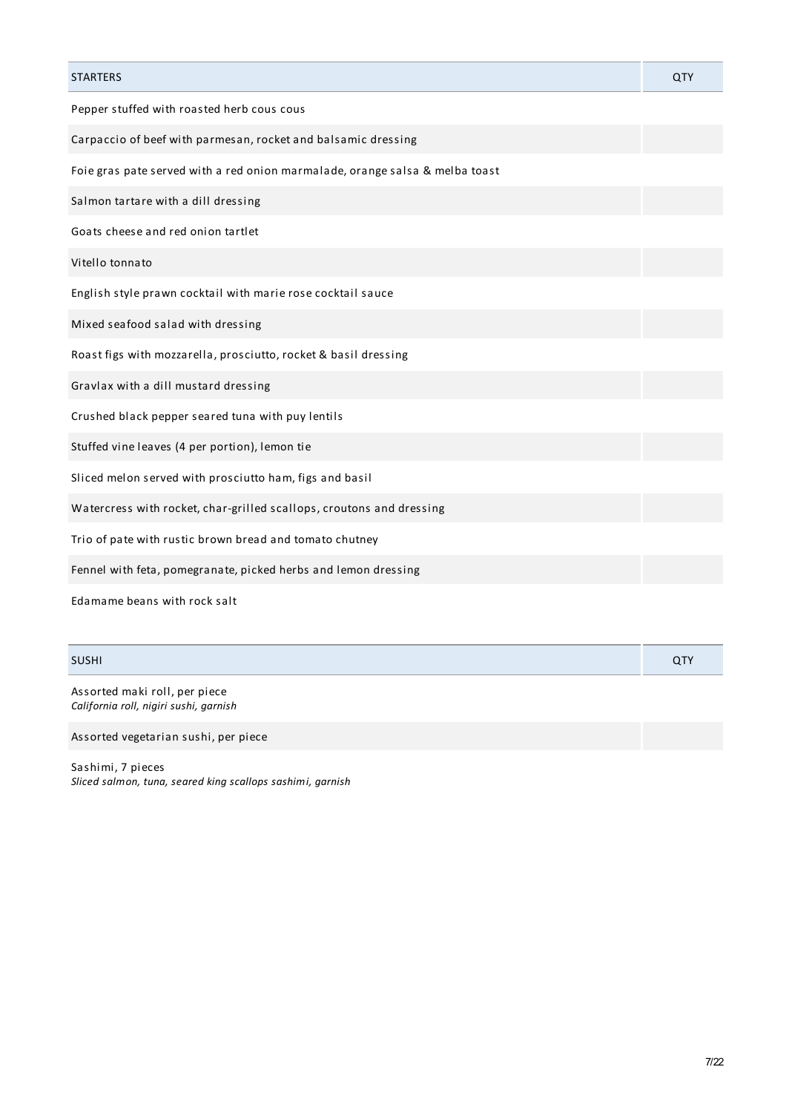| <b>STARTERS</b>                                                              | QTY |
|------------------------------------------------------------------------------|-----|
| Pepper stuffed with roasted herb cous cous                                   |     |
| Carpaccio of beef with parmesan, rocket and balsamic dressing                |     |
| Foie gras pate served with a red onion marmalade, orange salsa & melba toast |     |
| Salmon tartare with a dill dressing                                          |     |
| Goats cheese and red onion tartlet                                           |     |
| Vitello tonnato                                                              |     |
| English style prawn cocktail with marie rose cocktail sauce                  |     |
| Mixed seafood salad with dressing                                            |     |
| Roast figs with mozzarella, prosciutto, rocket & basil dressing              |     |
| Gravlax with a dill mustard dressing                                         |     |
| Crushed black pepper seared tuna with puy lentils                            |     |
| Stuffed vine leaves (4 per portion), lemon tie                               |     |
| Sliced melon served with prosciutto ham, figs and basil                      |     |
| Watercress with rocket, char-grilled scallops, croutons and dressing         |     |
| Trio of pate with rustic brown bread and tomato chutney                      |     |
| Fennel with feta, pomegranate, picked herbs and lemon dressing               |     |
| Edamame beans with rock salt                                                 |     |

| <b>SUSHI</b> | QTY |
|--------------|-----|
|--------------|-----|

Assorted maki roll, per piece *California roll, nigiri sushi, garnish*

Assorted vegetarian sushi, per piece

Sashimi, 7 pieces *Sliced salmon, tuna, seared king scallops sashimi, garnish*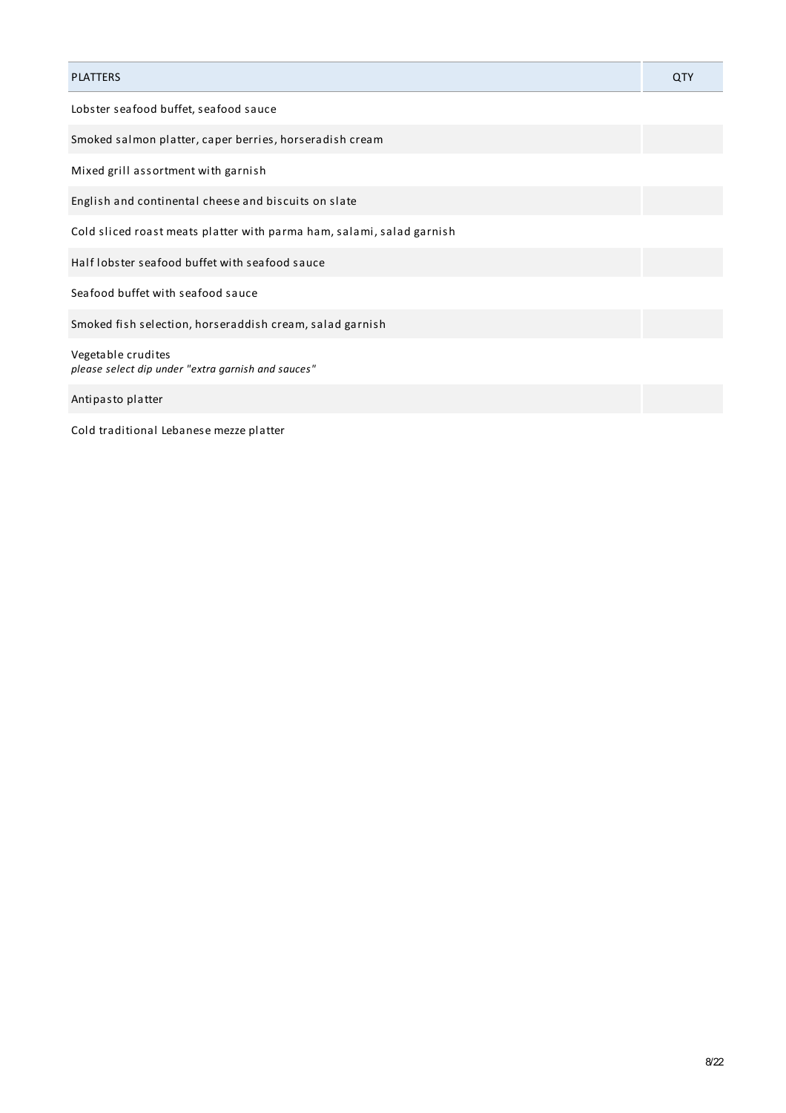| <b>PLATTERS</b>                                                          | QTY |
|--------------------------------------------------------------------------|-----|
| Lobster seafood buffet, seafood sauce                                    |     |
| Smoked salmon platter, caper berries, horseradish cream                  |     |
| Mixed grill assortment with garnish                                      |     |
| English and continental cheese and biscuits on slate                     |     |
| Cold sliced roast meats platter with parma ham, salami, salad garnish    |     |
| Half lobster seafood buffet with seafood sauce                           |     |
| Seafood buffet with seafood sauce                                        |     |
| Smoked fish selection, horseraddish cream, salad garnish                 |     |
| Vegetable crudites<br>please select dip under "extra garnish and sauces" |     |
| Antipasto platter                                                        |     |

Cold traditional Lebanese mezze platter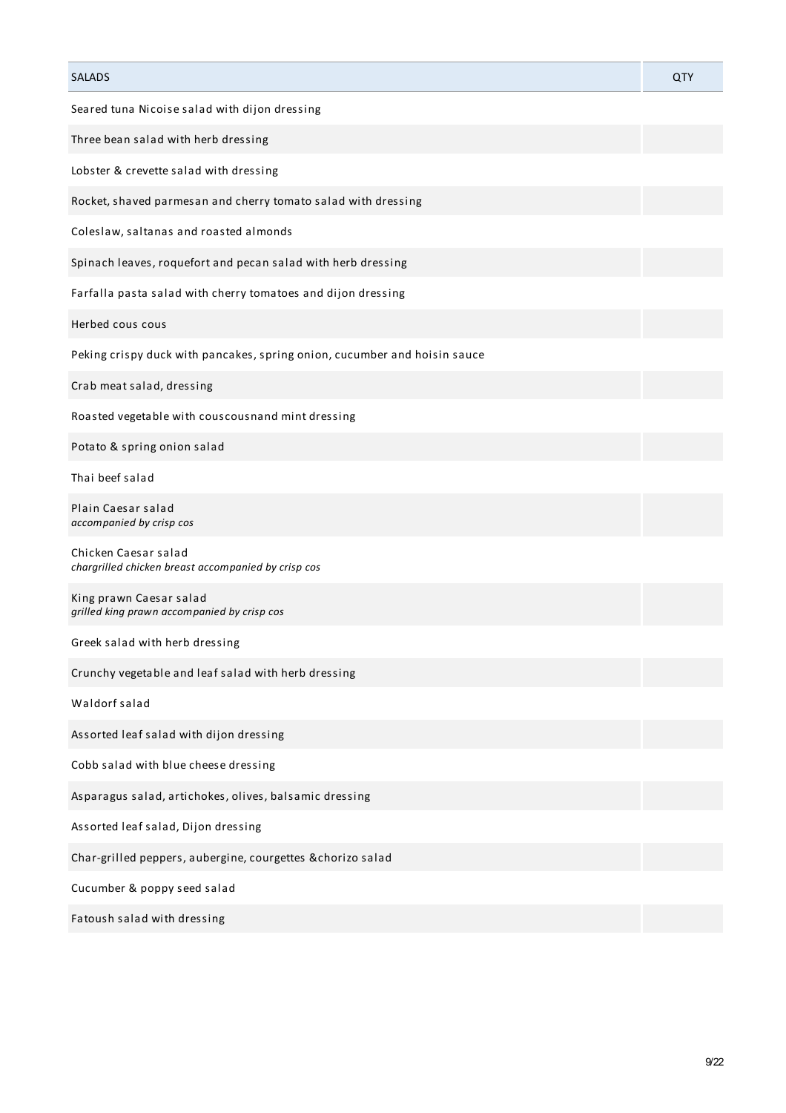| <b>SALADS</b>                                                               | <b>QTY</b> |
|-----------------------------------------------------------------------------|------------|
| Seared tuna Nicoise salad with dijon dressing                               |            |
| Three bean salad with herb dressing                                         |            |
| Lobster & crevette salad with dressing                                      |            |
| Rocket, shaved parmesan and cherry tomato salad with dressing               |            |
| Coleslaw, saltanas and roasted almonds                                      |            |
| Spinach leaves, roquefort and pecan salad with herb dressing                |            |
| Farfalla pasta salad with cherry tomatoes and dijon dressing                |            |
| Herbed cous cous                                                            |            |
| Peking crispy duck with pancakes, spring onion, cucumber and hoisin sauce   |            |
| Crab meat salad, dressing                                                   |            |
| Roasted vegetable with couscousnand mint dressing                           |            |
| Potato & spring onion salad                                                 |            |
| Thai beef salad                                                             |            |
| Plain Caesar salad<br>accompanied by crisp cos                              |            |
| Chicken Caesar salad<br>chargrilled chicken breast accompanied by crisp cos |            |
| King prawn Caesar salad<br>grilled king prawn accompanied by crisp cos      |            |
| Greek salad with herb dressing                                              |            |
| Crunchy vegetable and leaf salad with herb dressing                         |            |
| Waldorf salad                                                               |            |
| Assorted leaf salad with dijon dressing                                     |            |
| Cobb salad with blue cheese dressing                                        |            |
| Asparagus salad, artichokes, olives, balsamic dressing                      |            |
| Assorted leaf salad, Dijon dressing                                         |            |
| Char-grilled peppers, aubergine, courgettes & chorizo salad                 |            |
| Cucumber & poppy seed salad                                                 |            |
| Fatoush salad with dressing                                                 |            |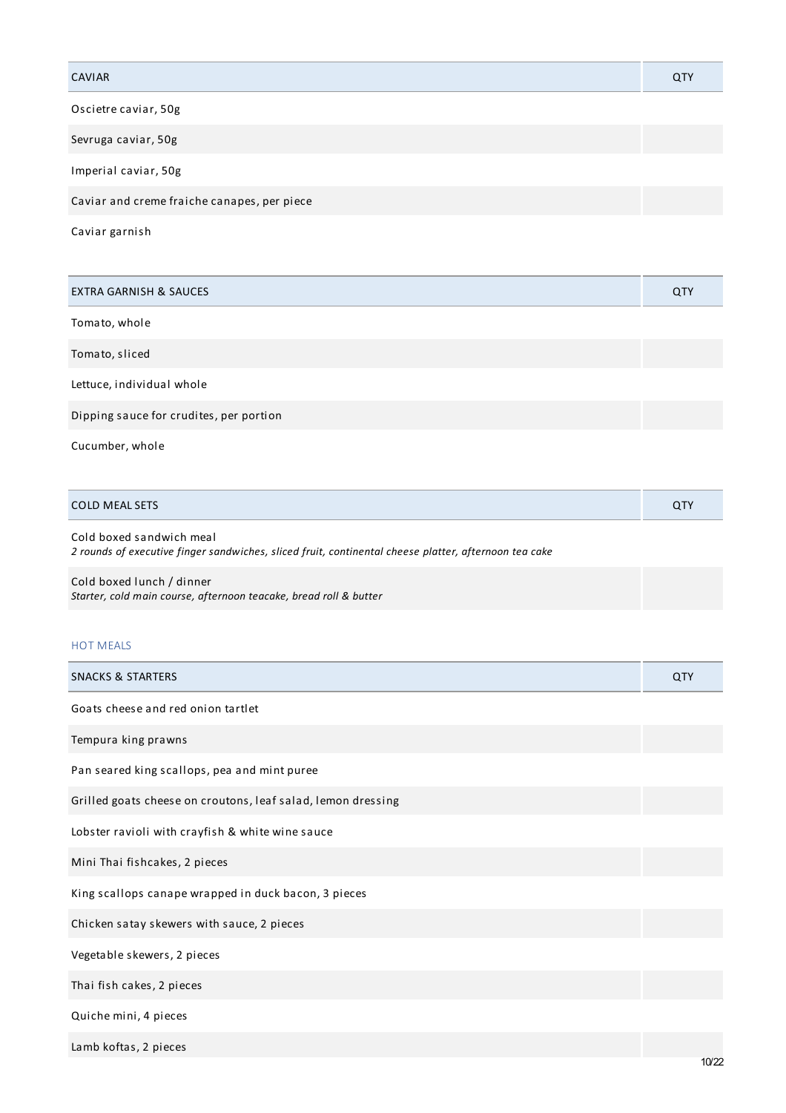| <b>CAVIAR</b>                               | QTY |
|---------------------------------------------|-----|
| Oscietre caviar, 50g                        |     |
| Sevruga caviar, 50g                         |     |
| Imperial caviar, 50g                        |     |
| Caviar and creme fraiche canapes, per piece |     |
| Caviar garnish                              |     |

EXTRA GARNISH & SAUCES QTY Tomato, whole Tomato, sliced Lettuce, individual whole Dipping sauce for crudites, per portion

Cucumber, whole

| <b>COLD MEAL SETS</b> | ~ |
|-----------------------|---|
|                       |   |

Cold boxed sandwich meal *2 rounds of executive finger sandwiches, sliced fruit, continental cheese platter, afternoon tea cake*

Cold boxed lunch / dinner *Starter, cold main course, afternoon teacake, bread roll & butter*

# HOT MEALS

| <b>SNACKS &amp; STARTERS</b>                                 | QTY |
|--------------------------------------------------------------|-----|
| Goats cheese and red onion tartlet                           |     |
| Tempura king prawns                                          |     |
| Pan seared king scallops, pea and mint puree                 |     |
| Grilled goats cheese on croutons, leaf salad, lemon dressing |     |
| Lobster ravioli with crayfish & white wine sauce             |     |
| Mini Thai fishcakes, 2 pieces                                |     |
| King scallops canape wrapped in duck bacon, 3 pieces         |     |
| Chicken satay skewers with sauce, 2 pieces                   |     |
| Vegetable skewers, 2 pieces                                  |     |
| Thai fish cakes, 2 pieces                                    |     |
| Quiche mini, 4 pieces                                        |     |
| Lamb koftas, 2 pieces                                        |     |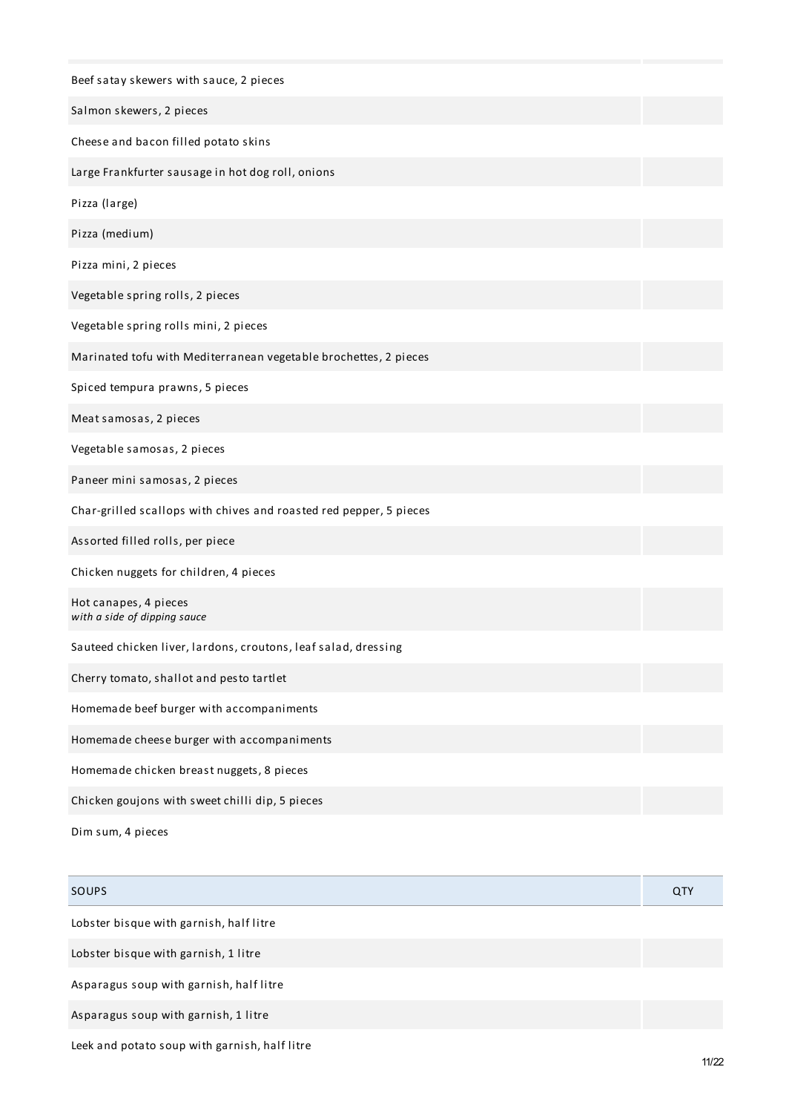| Beef satay skewers with sauce, 2 pieces                            |  |
|--------------------------------------------------------------------|--|
| Salmon skewers, 2 pieces                                           |  |
| Cheese and bacon filled potato skins                               |  |
| Large Frankfurter sausage in hot dog roll, onions                  |  |
| Pizza (large)                                                      |  |
| Pizza (medium)                                                     |  |
| Pizza mini, 2 pieces                                               |  |
| Vegetable spring rolls, 2 pieces                                   |  |
| Vegetable spring rolls mini, 2 pieces                              |  |
| Marinated tofu with Mediterranean vegetable brochettes, 2 pieces   |  |
| Spiced tempura prawns, 5 pieces                                    |  |
| Meat samosas, 2 pieces                                             |  |
| Vegetable samosas, 2 pieces                                        |  |
| Paneer mini samosas, 2 pieces                                      |  |
| Char-grilled scallops with chives and roasted red pepper, 5 pieces |  |
| Assorted filled rolls, per piece                                   |  |
| Chicken nuggets for children, 4 pieces                             |  |
| Hot canapes, 4 pieces<br>with a side of dipping sauce              |  |
| Sauteed chicken liver, lardons, croutons, leaf salad, dressing     |  |
| Cherry tomato, shallot and pesto tartlet                           |  |
| Homemade beef burger with accompaniments                           |  |
| Homemade cheese burger with accompaniments                         |  |
| Homemade chicken breast nuggets, 8 pieces                          |  |
| Chicken goujons with sweet chilli dip, 5 pieces                    |  |
| Dim sum, 4 pieces                                                  |  |

| <b>SOUPS</b>                                  | QTY |
|-----------------------------------------------|-----|
| Lobster bisque with garnish, half litre       |     |
| Lobster bisque with garnish, 1 litre          |     |
| Asparagus soup with garnish, half litre       |     |
| Asparagus soup with garnish, 1 litre          |     |
| Leek and potato soup with garnish, half litre |     |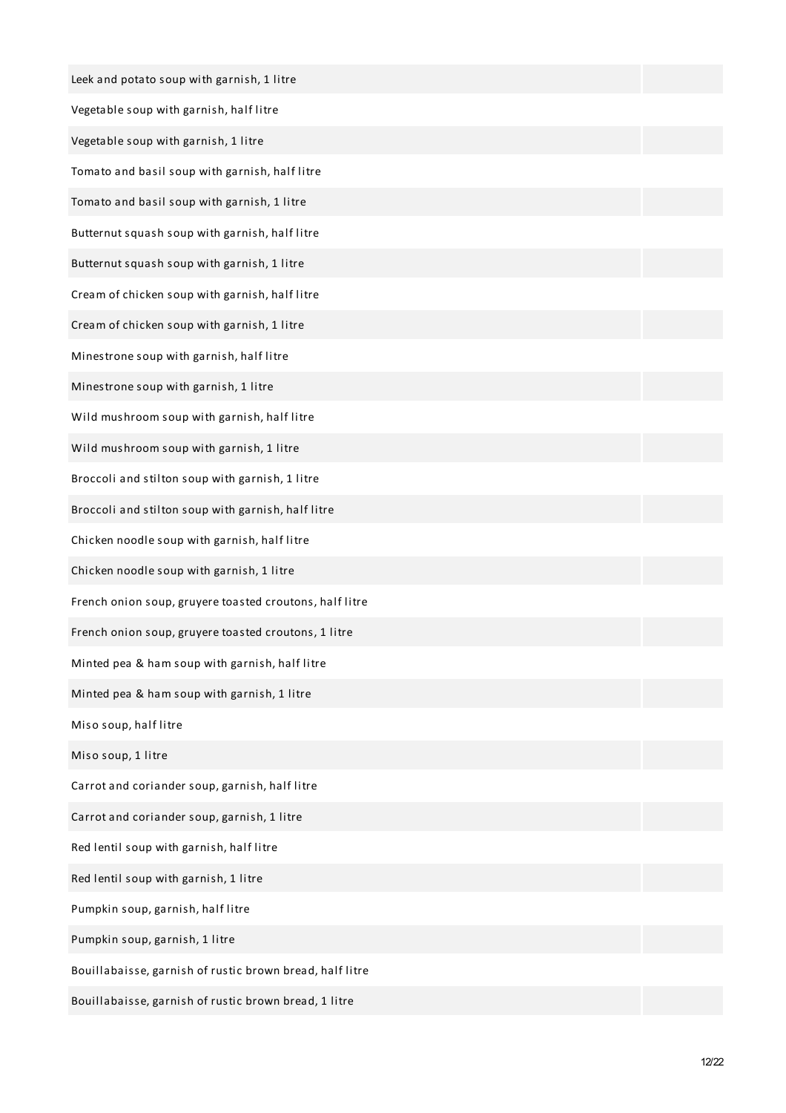| Leek and potato soup with garnish, 1 litre               |  |
|----------------------------------------------------------|--|
| Vegetable soup with garnish, half litre                  |  |
| Vegetable soup with garnish, 1 litre                     |  |
| Tomato and basil soup with garnish, half litre           |  |
| Tomato and basil soup with garnish, 1 litre              |  |
| Butternut squash soup with garnish, half litre           |  |
| Butternut squash soup with garnish, 1 litre              |  |
| Cream of chicken soup with garnish, half litre           |  |
| Cream of chicken soup with garnish, 1 litre              |  |
| Minestrone soup with garnish, half litre                 |  |
| Minestrone soup with garnish, 1 litre                    |  |
| Wild mushroom soup with garnish, half litre              |  |
| Wild mushroom soup with garnish, 1 litre                 |  |
| Broccoli and stilton soup with garnish, 1 litre          |  |
| Broccoli and stilton soup with garnish, half litre       |  |
| Chicken noodle soup with garnish, half litre             |  |
| Chicken noodle soup with garnish, 1 litre                |  |
| French onion soup, gruyere toasted croutons, half litre  |  |
| French onion soup, gruyere toasted croutons, 1 litre     |  |
| Minted pea & ham soup with garnish, half litre           |  |
| Minted pea & ham soup with garnish, 1 litre              |  |
| Miso soup, half litre                                    |  |
| Miso soup, 1 litre                                       |  |
| Carrot and coriander soup, garnish, half litre           |  |
| Carrot and coriander soup, garnish, 1 litre              |  |
| Red lentil soup with garnish, half litre                 |  |
| Red lentil soup with garnish, 1 litre                    |  |
| Pumpkin soup, garnish, half litre                        |  |
| Pumpkin soup, garnish, 1 litre                           |  |
| Bouillabaisse, garnish of rustic brown bread, half litre |  |
| Bouillabaisse, garnish of rustic brown bread, 1 litre    |  |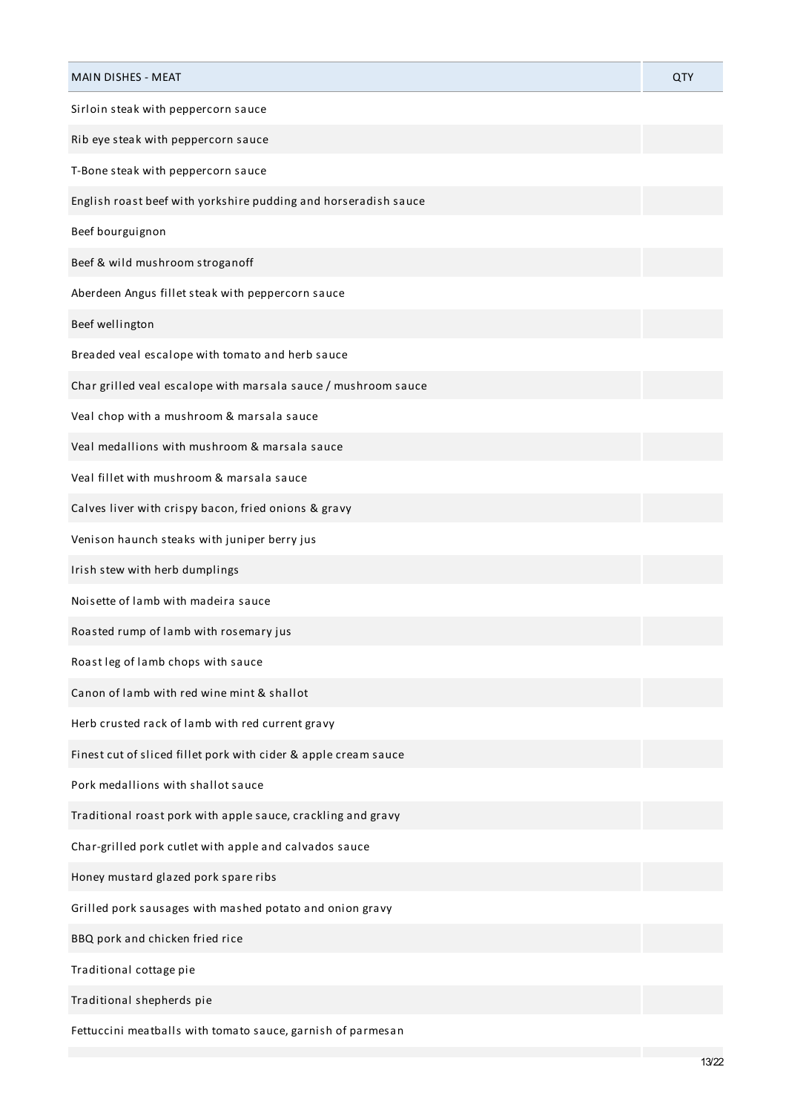| <b>MAIN DISHES - MEAT</b>                                       | QTY |
|-----------------------------------------------------------------|-----|
| Sirloin steak with peppercorn sauce                             |     |
| Rib eye steak with peppercorn sauce                             |     |
| T-Bone steak with peppercorn sauce                              |     |
| English roast beef with yorkshire pudding and horseradish sauce |     |
| Beef bourguignon                                                |     |
| Beef & wild mushroom stroganoff                                 |     |
| Aberdeen Angus fillet steak with peppercorn sauce               |     |
| Beef wellington                                                 |     |
| Breaded veal escalope with tomato and herb sauce                |     |
| Char grilled veal escalope with marsala sauce / mushroom sauce  |     |
| Veal chop with a mushroom & marsala sauce                       |     |
| Veal medallions with mushroom & marsala sauce                   |     |
| Veal fillet with mushroom & marsala sauce                       |     |
| Calves liver with crispy bacon, fried onions & gravy            |     |
| Venison haunch steaks with juniper berry jus                    |     |
| Irish stew with herb dumplings                                  |     |
| Noisette of lamb with madeira sauce                             |     |
| Roasted rump of lamb with rosemary jus                          |     |
| Roast leg of lamb chops with sauce                              |     |
| Canon of lamb with red wine mint & shallot                      |     |
| Herb crusted rack of lamb with red current gravy                |     |
| Finest cut of sliced fillet pork with cider & apple cream sauce |     |
| Pork medallions with shallot sauce                              |     |
| Traditional roast pork with apple sauce, crackling and gravy    |     |
| Char-grilled pork cutlet with apple and calvados sauce          |     |
| Honey mustard glazed pork spare ribs                            |     |
| Grilled pork sausages with mashed potato and onion gravy        |     |
| BBQ pork and chicken fried rice                                 |     |
| Traditional cottage pie                                         |     |
| Traditional shepherds pie                                       |     |
| Fettuccini meatballs with tomato sauce, garnish of parmesan     |     |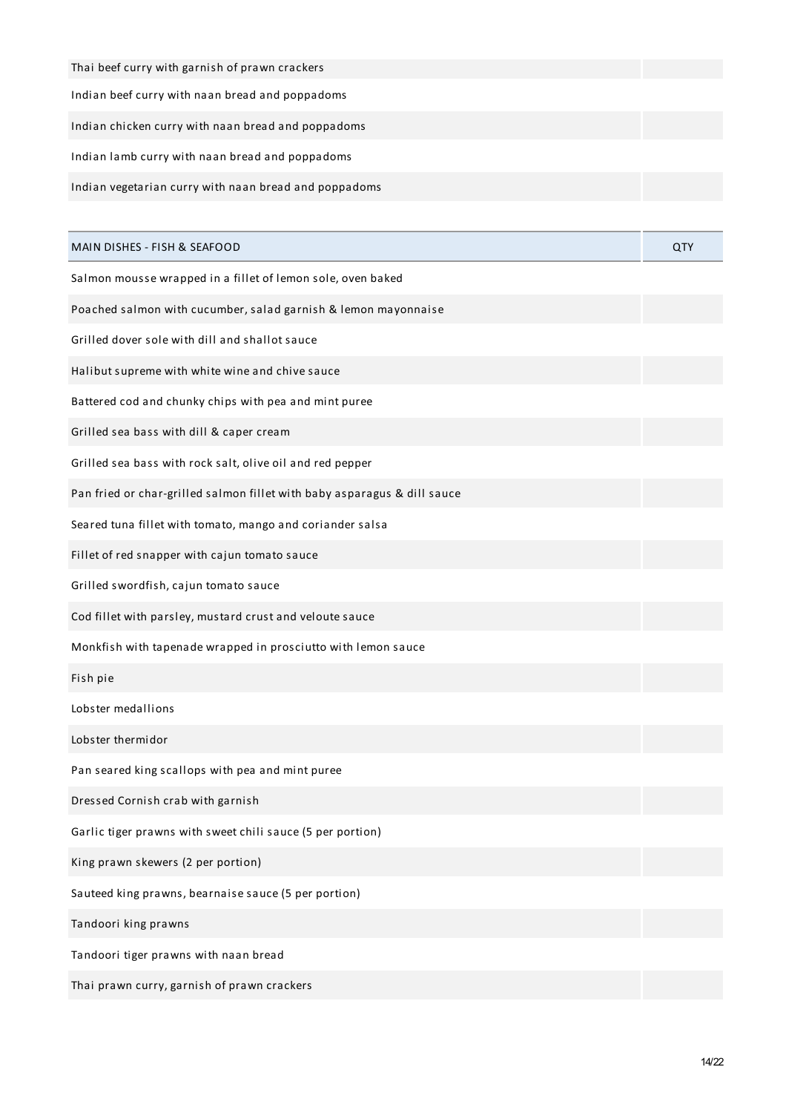| Thai beef curry with garnish of prawn crackers                           |     |
|--------------------------------------------------------------------------|-----|
| Indian beef curry with naan bread and poppadoms                          |     |
| Indian chicken curry with naan bread and poppadoms                       |     |
| Indian lamb curry with naan bread and poppadoms                          |     |
| Indian vegetarian curry with naan bread and poppadoms                    |     |
|                                                                          |     |
| MAIN DISHES - FISH & SEAFOOD                                             | QTY |
| Salmon mousse wrapped in a fillet of lemon sole, oven baked              |     |
| Poached salmon with cucumber, salad garnish & lemon mayonnaise           |     |
| Grilled dover sole with dill and shallot sauce                           |     |
| Halibut supreme with white wine and chive sauce                          |     |
| Battered cod and chunky chips with pea and mint puree                    |     |
| Grilled sea bass with dill & caper cream                                 |     |
| Grilled sea bass with rock salt, olive oil and red pepper                |     |
| Pan fried or char-grilled salmon fillet with baby asparagus & dill sauce |     |
| Seared tuna fillet with tomato, mango and coriander salsa                |     |
| Fillet of red snapper with cajun tomato sauce                            |     |
| Grilled swordfish, cajun tomato sauce                                    |     |
| Cod fillet with parsley, mustard crust and veloute sauce                 |     |
| Monkfish with tapenade wrapped in prosciutto with lemon sauce            |     |
| Fish pie                                                                 |     |
| Lobster medallions                                                       |     |
| Lobster thermidor                                                        |     |
| Pan seared king scallops with pea and mint puree                         |     |
| Dressed Cornish crab with garnish                                        |     |
| Garlic tiger prawns with sweet chili sauce (5 per portion)               |     |
| King prawn skewers (2 per portion)                                       |     |
| Sauteed king prawns, bearnaise sauce (5 per portion)                     |     |
| Tandoori king prawns                                                     |     |
| Tandoori tiger prawns with naan bread                                    |     |
| Thai prawn curry, garnish of prawn crackers                              |     |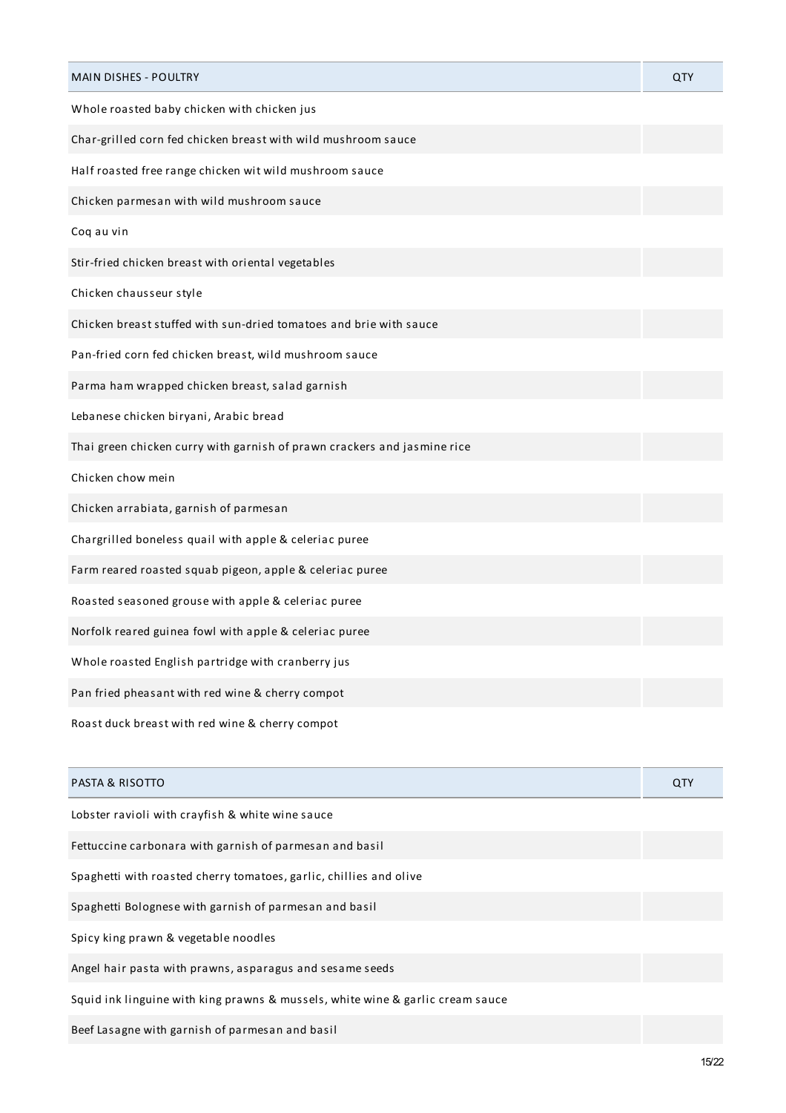| <b>MAIN DISHES - POULTRY</b>                                             | QTY |
|--------------------------------------------------------------------------|-----|
| Whole roasted baby chicken with chicken jus                              |     |
| Char-grilled corn fed chicken breast with wild mushroom sauce            |     |
| Half roasted free range chicken wit wild mushroom sauce                  |     |
| Chicken parmesan with wild mushroom sauce                                |     |
| Coq au vin                                                               |     |
| Stir-fried chicken breast with oriental vegetables                       |     |
| Chicken chausseur style                                                  |     |
| Chicken breast stuffed with sun-dried tomatoes and brie with sauce       |     |
| Pan-fried corn fed chicken breast, wild mushroom sauce                   |     |
| Parma ham wrapped chicken breast, salad garnish                          |     |
| Lebanese chicken biryani, Arabic bread                                   |     |
| Thai green chicken curry with garnish of prawn crackers and jasmine rice |     |
| Chicken chow mein                                                        |     |
| Chicken arrabiata, garnish of parmesan                                   |     |
| Chargrilled boneless quail with apple & celeriac puree                   |     |
| Farm reared roasted squab pigeon, apple & celeriac puree                 |     |
| Roasted seasoned grouse with apple & celeriac puree                      |     |
| Norfolk reared guinea fowl with apple & celeriac puree                   |     |
| Whole roasted English partridge with cranberry jus                       |     |
| Pan fried pheasant with red wine & cherry compot                         |     |
| Roast duck breast with red wine & cherry compot                          |     |
|                                                                          |     |
| <b>PASTA &amp; RISOTTO</b>                                               | QTY |
| Lobster ravioli with crayfish & white wine sauce                         |     |

Fettuccine carbonara with garnish of parmesan and basil

Spaghetti with roasted cherry tomatoes, garlic, chillies and olive

Spaghetti Bolognese with garnish of parmesan and basil

Spicy king prawn & vegetable noodles

Angel hair pasta with prawns, asparagus and sesame seeds

Squid ink linguine with king prawns & mussels, white wine & garlic cream sauce

Beef Lasagne with garnish of parmesan and basil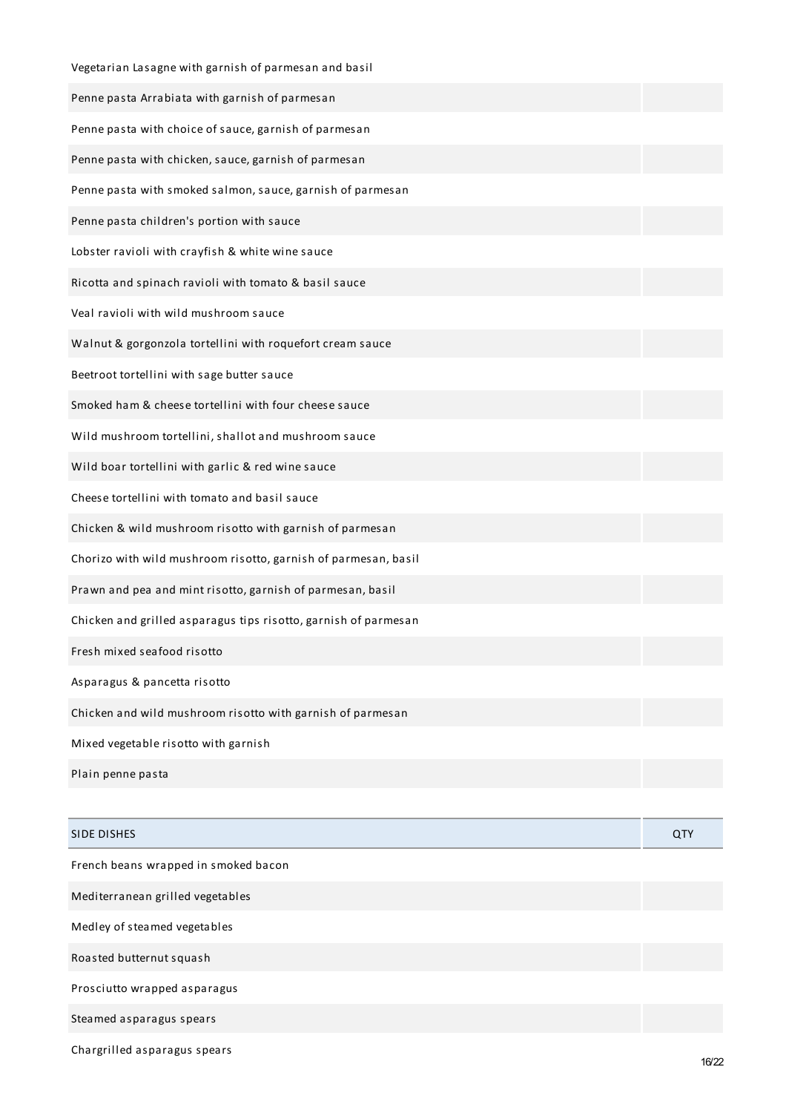| Vegetarian Lasagne with garnish of parmesan and basil           |            |
|-----------------------------------------------------------------|------------|
| Penne pasta Arrabiata with garnish of parmesan                  |            |
| Penne pasta with choice of sauce, garnish of parmesan           |            |
| Penne pasta with chicken, sauce, garnish of parmesan            |            |
| Penne pasta with smoked salmon, sauce, garnish of parmesan      |            |
| Penne pasta children's portion with sauce                       |            |
| Lobster ravioli with crayfish & white wine sauce                |            |
| Ricotta and spinach ravioli with tomato & basil sauce           |            |
| Veal ravioli with wild mushroom sauce                           |            |
| Walnut & gorgonzola tortellini with roquefort cream sauce       |            |
| Beetroot tortellini with sage butter sauce                      |            |
| Smoked ham & cheese tortellini with four cheese sauce           |            |
| Wild mushroom tortellini, shallot and mushroom sauce            |            |
| Wild boar tortellini with garlic & red wine sauce               |            |
| Cheese tortellini with tomato and basil sauce                   |            |
| Chicken & wild mushroom risotto with garnish of parmesan        |            |
| Chorizo with wild mushroom risotto, garnish of parmesan, basil  |            |
| Prawn and pea and mint risotto, garnish of parmesan, basil      |            |
| Chicken and grilled asparagus tips risotto, garnish of parmesan |            |
| Fresh mixed seafood risotto                                     |            |
| Asparagus & pancetta risotto                                    |            |
| Chicken and wild mushroom risotto with garnish of parmesan      |            |
| Mixed vegetable risotto with garnish                            |            |
| Plain penne pasta                                               |            |
|                                                                 |            |
| <b>SIDE DISHES</b>                                              | <b>QTY</b> |
|                                                                 |            |

French beans wrapped in smoked bacon

Mediterranean grilled vegetables

Medley of steamed vegetables

Roasted butternut squash

Prosciutto wrapped asparagus

Steamed asparagus spears

Chargrilled asparagus spears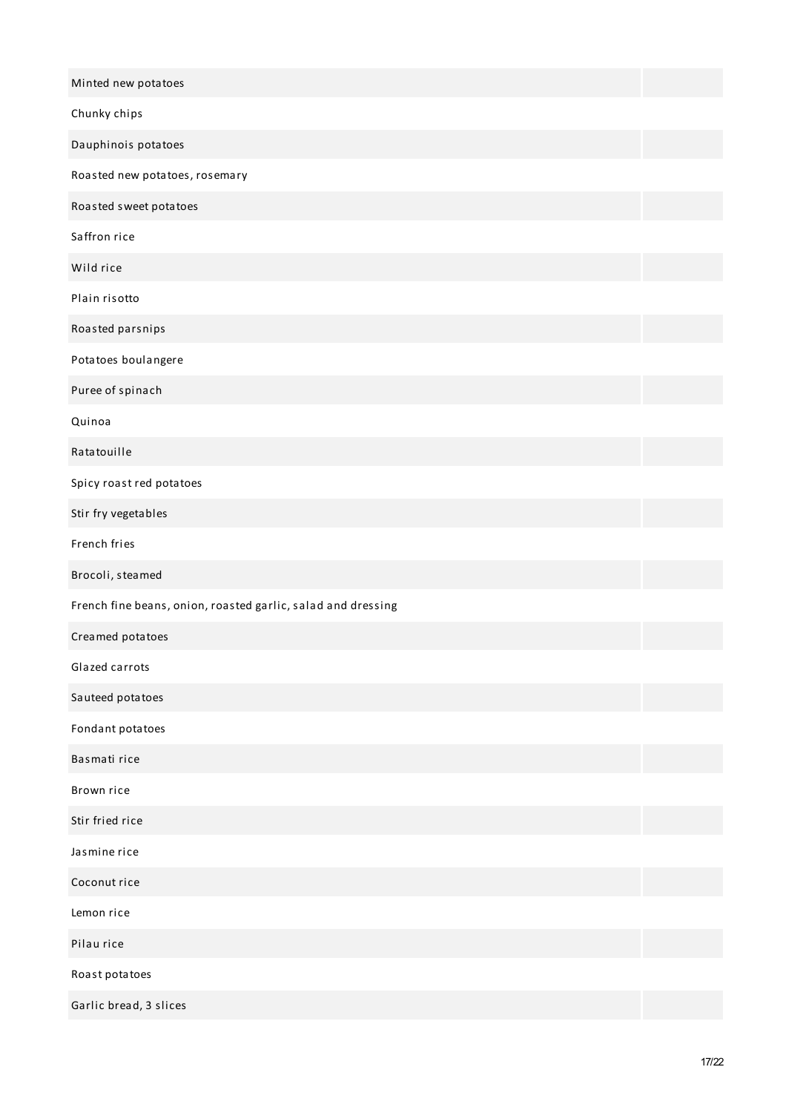| Minted new potatoes                                          |  |
|--------------------------------------------------------------|--|
| Chunky chips                                                 |  |
| Dauphinois potatoes                                          |  |
| Roasted new potatoes, rosemary                               |  |
| Roasted sweet potatoes                                       |  |
| Saffron rice                                                 |  |
| Wild rice                                                    |  |
| Plain risotto                                                |  |
| Roasted parsnips                                             |  |
| Potatoes boulangere                                          |  |
| Puree of spinach                                             |  |
| Quinoa                                                       |  |
| Ratatouille                                                  |  |
| Spicy roast red potatoes                                     |  |
| Stir fry vegetables                                          |  |
| French fries                                                 |  |
| Brocoli, steamed                                             |  |
| French fine beans, onion, roasted garlic, salad and dressing |  |
| Creamed potatoes                                             |  |
| Glazed carrots                                               |  |
| Sauteed potatoes                                             |  |
| Fondant potatoes                                             |  |
| Basmati rice                                                 |  |
| Brown rice                                                   |  |
| Stir fried rice                                              |  |
| Jasmine rice                                                 |  |
| Coconut rice                                                 |  |
| Lemon rice                                                   |  |
| Pilau rice                                                   |  |
| Roast potatoes                                               |  |
| Garlic bread, 3 slices                                       |  |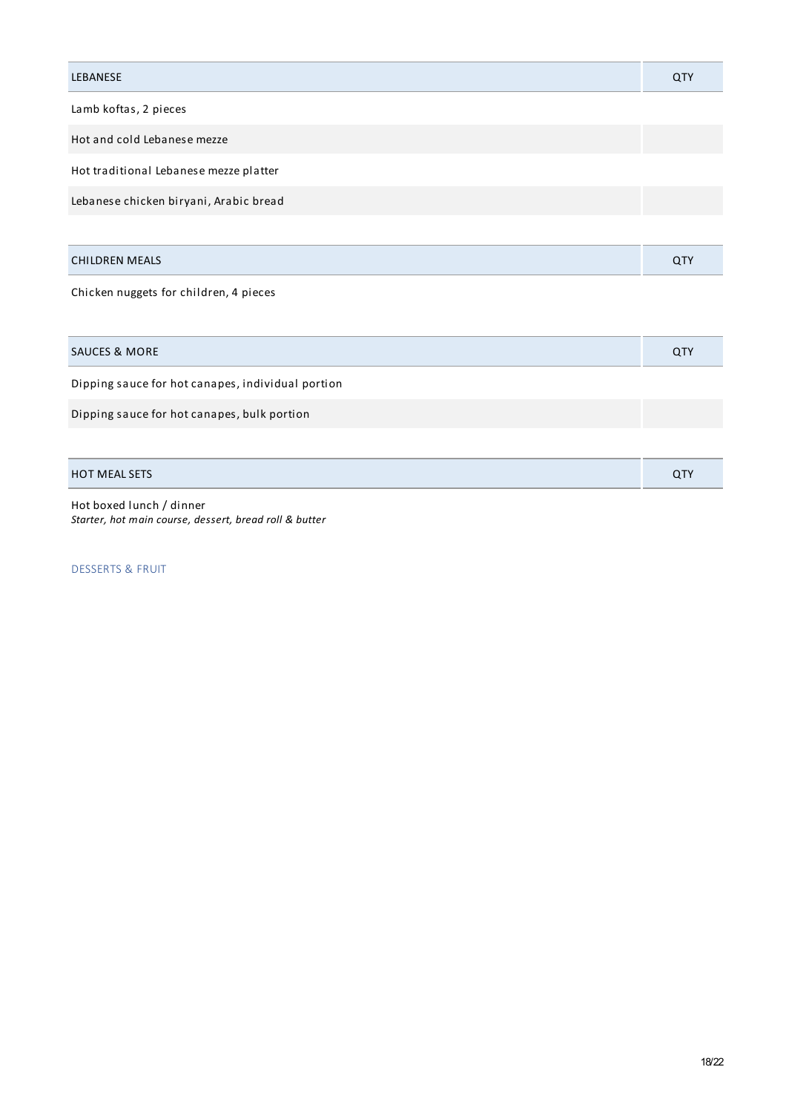| <b>LEBANESE</b>                        | QTY |
|----------------------------------------|-----|
| Lamb koftas, 2 pieces                  |     |
| Hot and cold Lebanese mezze            |     |
| Hot traditional Lebanese mezze platter |     |
| Lebanese chicken biryani, Arabic bread |     |
|                                        |     |
| <b>CHILDREN MEALS</b>                  | QTY |
| Chicken nuggets for children, 4 pieces |     |

| <b>SAUCES &amp; MORE</b>                          | QTY |
|---------------------------------------------------|-----|
| Dipping sauce for hot canapes, individual portion |     |
| Dipping sauce for hot canapes, bulk portion       |     |
|                                                   |     |
| <b>HOT MEAL SETS</b>                              | QTY |

Hot boxed lunch / dinner *Starter, hot main course, dessert, bread roll & butter*

DESSERTS & FRUIT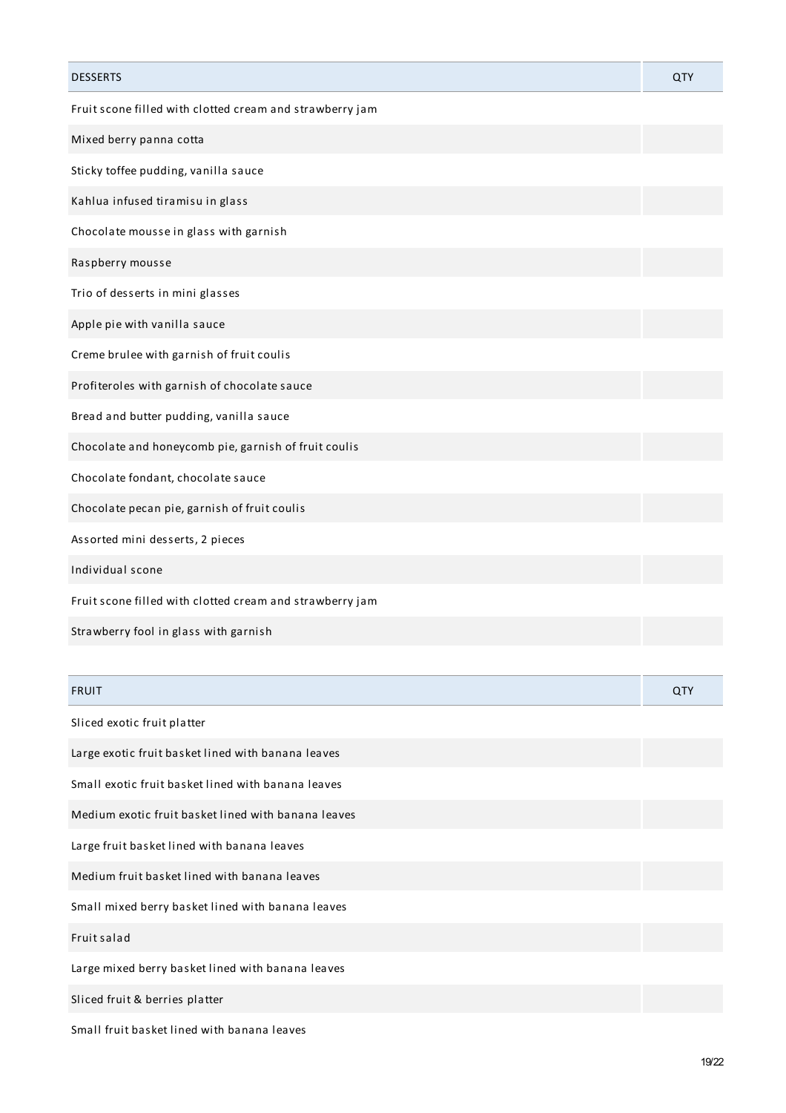| <b>DESSERTS</b>                                          | QTY |
|----------------------------------------------------------|-----|
| Fruit scone filled with clotted cream and strawberry jam |     |
| Mixed berry panna cotta                                  |     |
| Sticky toffee pudding, vanilla sauce                     |     |
| Kahlua infused tiramisu in glass                         |     |
| Chocolate mousse in glass with garnish                   |     |
| Raspberry mousse                                         |     |
| Trio of desserts in mini glasses                         |     |
| Apple pie with vanilla sauce                             |     |
| Creme brulee with garnish of fruit coulis                |     |
| Profiteroles with garnish of chocolate sauce             |     |
| Bread and butter pudding, vanilla sauce                  |     |
| Chocolate and honeycomb pie, garnish of fruit coulis     |     |
| Chocolate fondant, chocolate sauce                       |     |
| Chocolate pecan pie, garnish of fruit coulis             |     |
| Assorted mini desserts, 2 pieces                         |     |
| Individual scone                                         |     |
| Fruit scone filled with clotted cream and strawberry jam |     |
| Strawberry fool in glass with garnish                    |     |
|                                                          |     |
|                                                          |     |

| <b>FRUIT</b>                                        | QTY |
|-----------------------------------------------------|-----|
| Sliced exotic fruit platter                         |     |
| Large exotic fruit basket lined with banana leaves  |     |
| Small exotic fruit basket lined with banana leaves  |     |
| Medium exotic fruit basket lined with banana leaves |     |
| Large fruit basket lined with banana leaves         |     |
| Medium fruit basket lined with banana leaves        |     |
| Small mixed berry basket lined with banana leaves   |     |
| Fruit salad                                         |     |
| Large mixed berry basket lined with banana leaves   |     |
| Sliced fruit & berries platter                      |     |
| Small fruit basket lined with banana leaves         |     |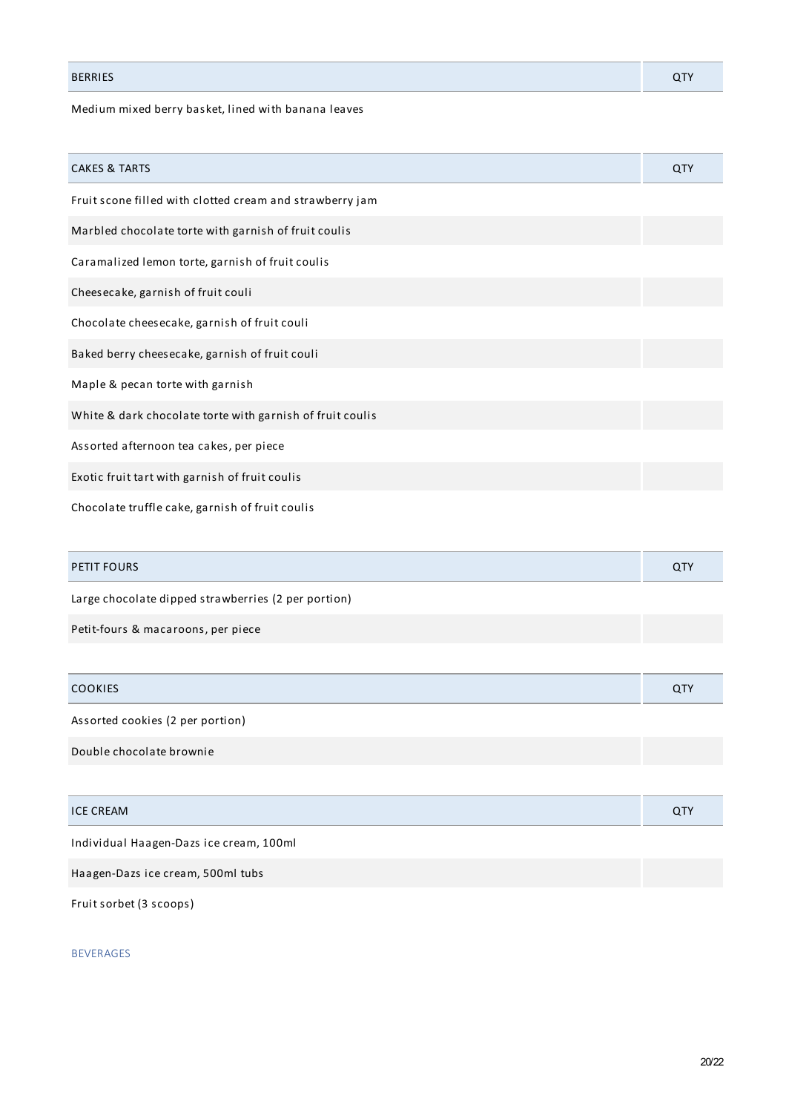# BERRIES QTY

# Medium mixed berry basket, lined with banana leaves

| <b>CAKES &amp; TARTS</b>                                  | QTY |
|-----------------------------------------------------------|-----|
| Fruit scone filled with clotted cream and strawberry jam  |     |
| Marbled chocolate torte with garnish of fruit coulis      |     |
| Caramalized lemon torte, garnish of fruit coulis          |     |
| Cheesecake, garnish of fruit couli                        |     |
| Chocolate cheesecake, garnish of fruit couli              |     |
| Baked berry cheesecake, garnish of fruit couli            |     |
| Maple & pecan torte with garnish                          |     |
| White & dark chocolate torte with garnish of fruit coulis |     |
| Assorted afternoon tea cakes, per piece                   |     |
| Exotic fruit tart with garnish of fruit coulis            |     |
| Chocolate truffle cake, garnish of fruit coulis           |     |

| <b>PETIT FOURS</b>                                  |  |
|-----------------------------------------------------|--|
| Large chocolate dipped strawberries (2 per portion) |  |

Petit-fours & macaroons, per piece

| <b>COOKIES</b>                   | <b>QTY</b> |
|----------------------------------|------------|
| Assorted cookies (2 per portion) |            |
| Double chocolate brownie         |            |

| <b>ICE CREAM</b> | ◡ |
|------------------|---|

Individual Haagen-Dazs ice cream, 100ml

Haagen-Dazs ice cream, 500ml tubs

Fruit sorbet (3 scoops)

BEVERAGES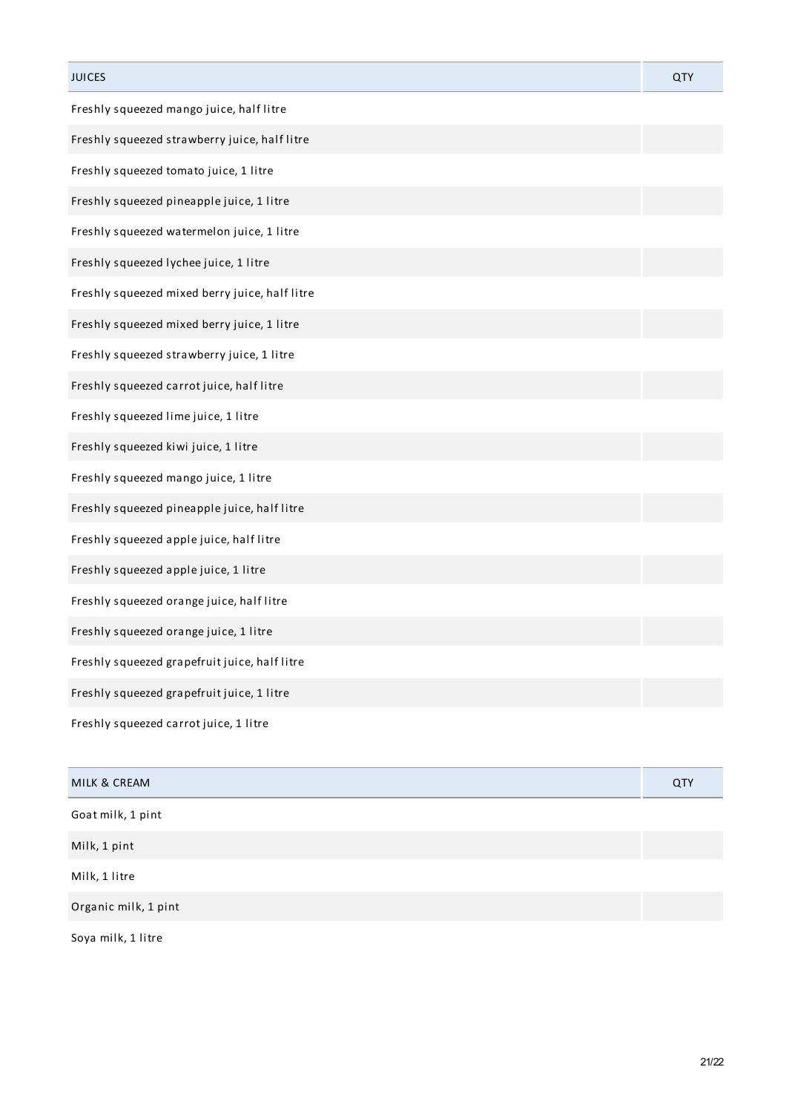| <b>JUICES</b>                                  | QTY |
|------------------------------------------------|-----|
| Freshly squeezed mango juice, half litre       |     |
| Freshly squeezed strawberry juice, half litre  |     |
| Freshly squeezed tomato juice, 1 litre         |     |
| Freshly squeezed pineapple juice, 1 litre      |     |
| Freshly squeezed watermelon juice, 1 litre     |     |
| Freshly squeezed lychee juice, 1 litre         |     |
| Freshly squeezed mixed berry juice, half litre |     |
| Freshly squeezed mixed berry juice, 1 litre    |     |
| Freshly squeezed strawberry juice, 1 litre     |     |
| Freshly squeezed carrot juice, half litre      |     |
| Freshly squeezed lime juice, 1 litre           |     |
| Freshly squeezed kiwi juice, 1 litre           |     |
| Freshly squeezed mango juice, 1 litre          |     |
| Freshly squeezed pineapple juice, half litre   |     |
| Freshly squeezed apple juice, half litre       |     |
| Freshly squeezed apple juice, 1 litre          |     |
| Freshly squeezed orange juice, half litre      |     |
| Freshly squeezed orange juice, 1 litre         |     |
| Freshly squeezed grapefruit juice, half litre  |     |
| Freshly squeezed grapefruit juice, 1 litre     |     |
| Freshly squeezed carrot juice, 1 litre         |     |

| MILK & CREAM         | QTY |
|----------------------|-----|
| Goat milk, 1 pint    |     |
| Milk, 1 pint         |     |
| Milk, 1 litre        |     |
| Organic milk, 1 pint |     |
| Soya milk, 1 litre   |     |